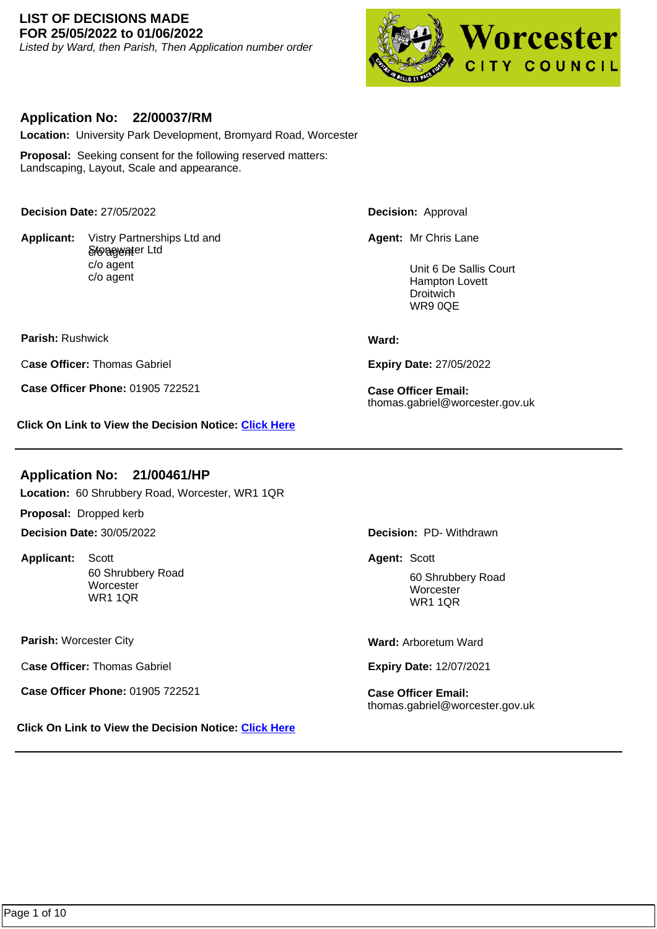#### **LIST OF DECISIONS MADE FOR 25/05/2022 to 01/06/2022**

Listed by Ward, then Parish, Then Application number order



## **Application No: 22/00037/RM**

**Location:** University Park Development, Bromyard Road, Worcester

**Proposal:** Seeking consent for the following reserved matters: Landscaping, Layout, Scale and appearance.

**Decision Date:** 27/05/2022

**Applicant:**  S*t*onegwater Ltd c/o agent c/o agent Vistry Partnerships Ltd and **Decision:** Approval

**Agent:** Mr Chris Lane

Unit 6 De Sallis Court Hampton Lovett Droitwich WR9 0QE

**Parish:** Rushwick

C**ase Officer:** Thomas Gabriel

**Case Officer Phone:** 01905 722521 **Case Officer Email:** 

**Click On Link to View the Decision Notice: [Click Here](https://plan.worcester.gov.uk/Planning/Display/22/00037/RM)**

# **Application No: 21/00461/HP**

**Location:** 60 Shrubbery Road, Worcester, WR1 1QR

**Proposal:** Dropped kerb

**Decision Date:** 30/05/2022

**Applicant:**  60 Shrubbery Road **Worcester** WR1 1QR Scott **Agent:** Scott

**Parish:** Worcester City

C**ase Officer:** Thomas Gabriel

**Case Officer Phone:** 01905 722521 **Case Officer Email:** 

**Click On Link to View the Decision Notice: [Click Here](https://plan.worcester.gov.uk/Planning/Display/21/00461/HP)**

**Ward:** 

**Expiry Date:** 27/05/2022

thomas.gabriel@worcester.gov.uk

**Decision:** PD- Withdrawn

60 Shrubbery Road **Worcester** WR1 1QR

**Ward:** Arboretum Ward

**Expiry Date:** 12/07/2021

thomas.gabriel@worcester.gov.uk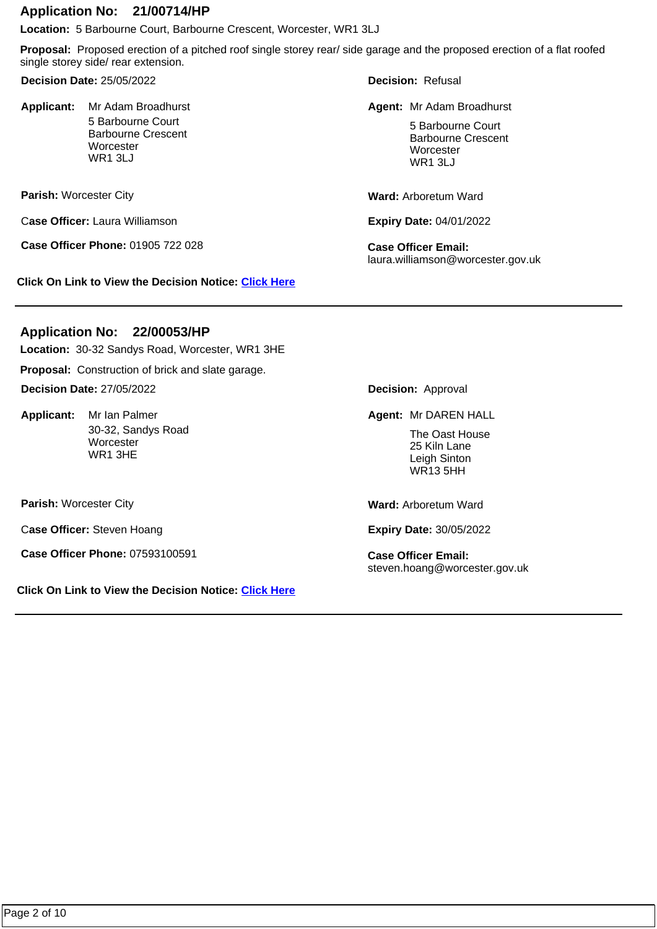#### **Application No: 21/00714/HP**

**Location:** 5 Barbourne Court, Barbourne Crescent, Worcester, WR1 3LJ

**Proposal:** Proposed erection of a pitched roof single storey rear/ side garage and the proposed erection of a flat roofed single storey side/ rear extension.

**Decision Date:** 25/05/2022

Applicant: Mr Adam Broadhurst 5 Barbourne Court Barbourne Crescent **Worcester** WR1 3LJ

**Parish:** Worcester City

C**ase Officer:** Laura Williamson

**Case Officer Phone:** 01905 722 028 **Case Officer Email:** 

**Click On Link to View the Decision Notice: [Click Here](https://plan.worcester.gov.uk/Planning/Display/21/00714/HP)**

**Decision:** Refusal

Mr Adam Broadhurst **Mr Adam Broadhurst Mr Adam Broadhurst** Agent: Mr Adam Broadhurst

5 Barbourne Court Barbourne Crescent **Worcester** WR1 3LJ

**Ward:** Arboretum Ward

**Expiry Date:** 04/01/2022

laura.williamson@worcester.gov.uk

# **Application No: 22/00053/HP**

**Location:** 30-32 Sandys Road, Worcester, WR1 3HE

**Proposal:** Construction of brick and slate garage. **Decision Date:** 27/05/2022

Applicant: Mr Ian Palmer 30-32, Sandys Road **Worcester** WR1 3HE

**Parish:** Worcester City

C**ase Officer:** Steven Hoang

**Case Officer Phone:** 07593100591 **Case Officer Email:** 

**Click On Link to View the Decision Notice: [Click Here](https://plan.worcester.gov.uk/Planning/Display/22/00053/HP)**

**Decision:** Approval

**Mr Ian Palmer Mr DAREN HALL Agent: Mr DAREN HALL** 

The Oast House 25 Kiln Lane Leigh Sinton WR13 5HH

**Ward:** Arboretum Ward

**Expiry Date:** 30/05/2022

steven.hoang@worcester.gov.uk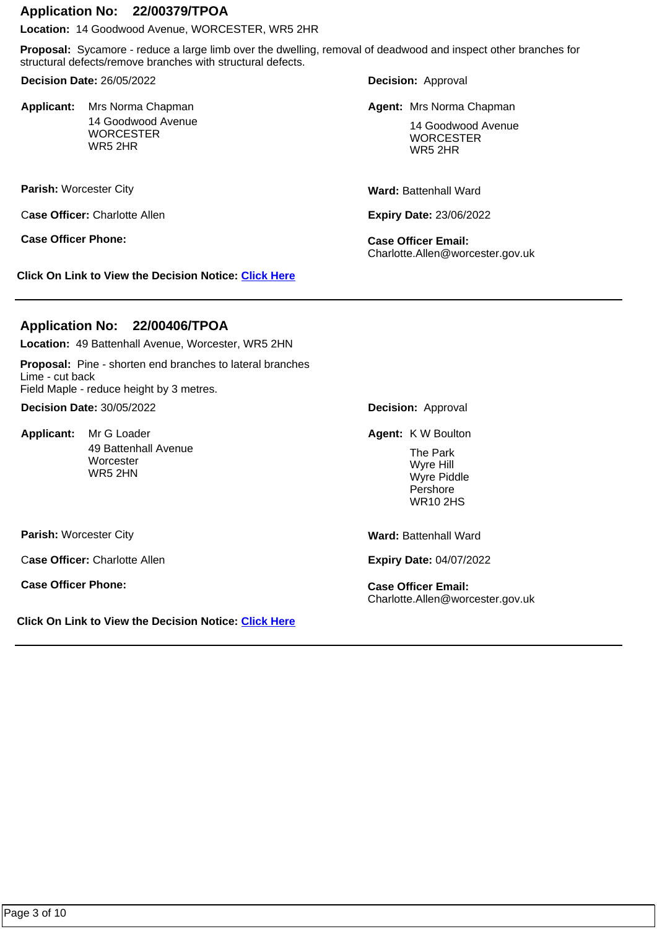## **Application No: 22/00379/TPOA**

**Location:** 14 Goodwood Avenue, WORCESTER, WR5 2HR

**Proposal:** Sycamore - reduce a large limb over the dwelling, removal of deadwood and inspect other branches for structural defects/remove branches with structural defects.

**Decision Date:** 26/05/2022

Applicant: Mrs Norma Chapman 14 Goodwood Avenue **WORCESTER** WR5 2HR

**Parish:** Worcester City

C**ase Officer:** Charlotte Allen

**Case Officer Phone: Case Officer Email:** 

**Click On Link to View the Decision Notice: [Click Here](https://plan.worcester.gov.uk/Planning/Display/22/00379/TPOA)**

**Decision:** Approval

Mrs Norma Chapman **Mrs Norma Chapman Mrs Norma Chapman** 

14 Goodwood Avenue **WORCESTER** WR5 2HR

**Ward:** Battenhall Ward

**Expiry Date:** 23/06/2022

Charlotte.Allen@worcester.gov.uk

# **Application No: 22/00406/TPOA**

**Location:** 49 Battenhall Avenue, Worcester, WR5 2HN

**Proposal:** Pine - shorten end branches to lateral branches Lime - cut back Field Maple - reduce height by 3 metres.

**Decision Date:** 30/05/2022

Applicant: Mr G Loader 49 Battenhall Avenue **Worcester** WR5 2HN

**Decision:** Approval

Mr G Loader **Agent:** K W Boulton

The Park Wyre Hill Wyre Piddle Pershore WR10 2HS

C**ase Officer:** Charlotte Allen

**Case Officer Phone: Case Officer Email:** 

**Parish:** Worcester City

**Click On Link to View the Decision Notice: [Click Here](https://plan.worcester.gov.uk/Planning/Display/22/00406/TPOA)**

**Ward:** Battenhall Ward

**Expiry Date:** 04/07/2022

Charlotte.Allen@worcester.gov.uk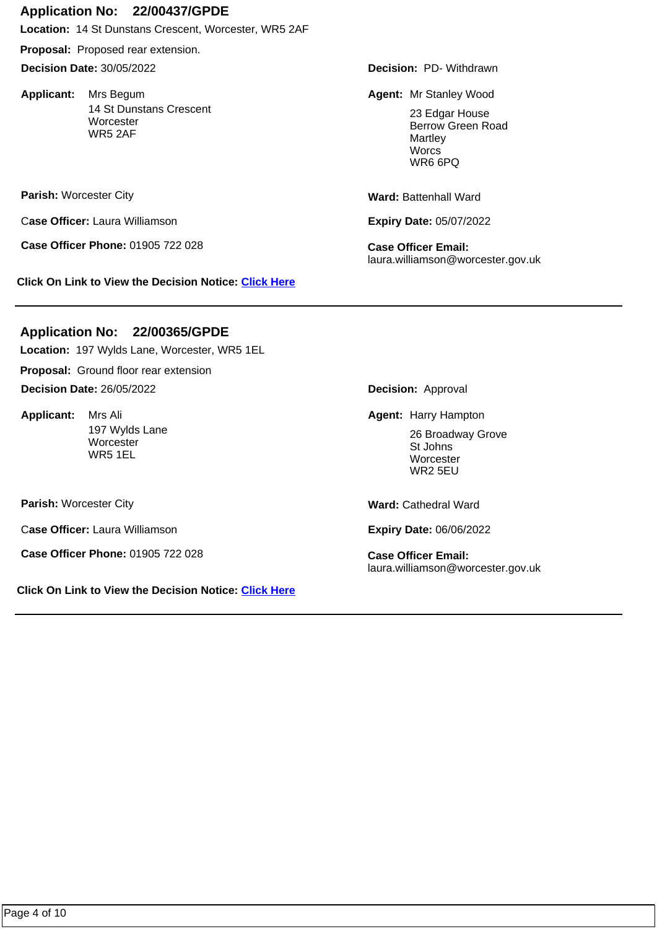#### **Application No: 22/00437/GPDE**

**Location:** 14 St Dunstans Crescent, Worcester, WR5 2AF

**Proposal:** Proposed rear extension.

**Decision Date:** 30/05/2022

Applicant: Mrs Begum 14 St Dunstans Crescent **Worcester** WR5 2AF

**Parish:** Worcester City

C**ase Officer:** Laura Williamson

**Case Officer Phone:** 01905 722 028 **Case Officer Email:** 

**Click On Link to View the Decision Notice: [Click Here](https://plan.worcester.gov.uk/Planning/Display/22/00437/GPDE)**

**Decision:** PD- Withdrawn

**Agent:** Mrs Begum Mr Stanley Wood

23 Edgar House Berrow Green Road Martley **Worcs** WR6 6PQ

**Ward:** Battenhall Ward

**Expiry Date:** 05/07/2022

laura.williamson@worcester.gov.uk

# **Location:** 197 Wylds Lane, Worcester, WR5 1EL **Application No: 22/00365/GPDE**

**Proposal:** Ground floor rear extension

**Decision Date:** 26/05/2022

**Applicant:**  197 Wylds Lane **Worcester** WR5 1EL

**Parish:** Worcester City

C**ase Officer:** Laura Williamson

**Case Officer Phone:** 01905 722 028 **Case Officer Email:** 

**Click On Link to View the Decision Notice: [Click Here](https://plan.worcester.gov.uk/Planning/Display/22/00365/GPDE)**

**Decision:** Approval

Mrs Ali **Agent:** Harry Hampton **Mrs Agent:** Harry Hampton

26 Broadway Grove St Johns **Worcester** WR2 5EU

**Ward:** Cathedral Ward

**Expiry Date:** 06/06/2022

laura.williamson@worcester.gov.uk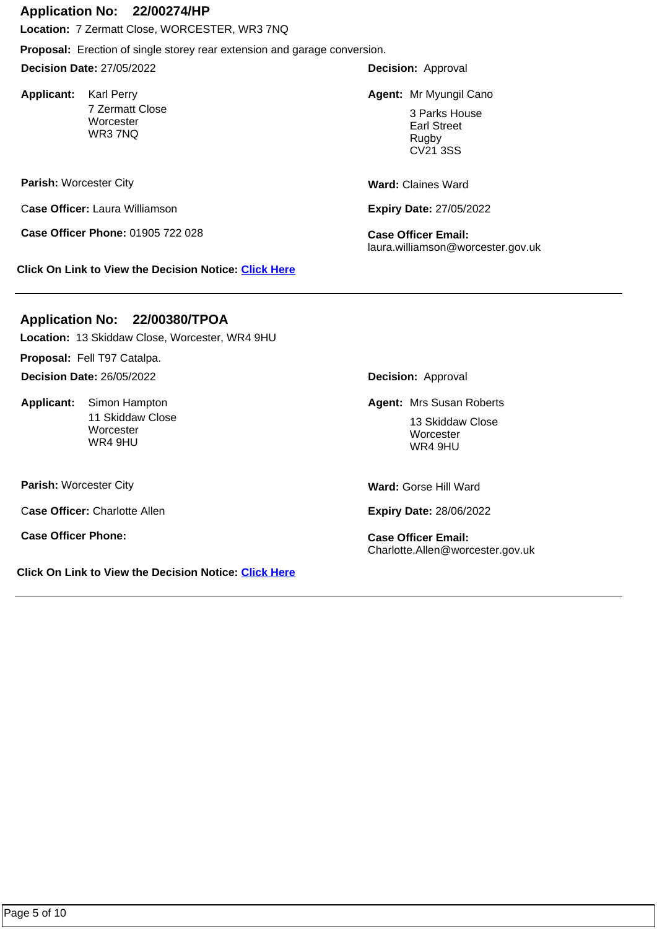#### **Application No: 22/00274/HP**

**Location:** 7 Zermatt Close, WORCESTER, WR3 7NQ

**Proposal:** Erection of single storey rear extension and garage conversion.

**Decision Date:** 27/05/2022

Applicant: Karl Perry 7 Zermatt Close **Worcester** WR3 7NQ

**Parish:** Worcester City

C**ase Officer:** Laura Williamson

**Case Officer Phone:** 01905 722 028 **Case Officer Email:** 

**Click On Link to View the Decision Notice: [Click Here](https://plan.worcester.gov.uk/Planning/Display/22/00274/HP)**

**Decision:** Approval

Karl Perry **Mr Myungil Canonic Community Community** Canonic Mr Myungil Canonic Mr Myungil Canonic Mr Myungil Cano

3 Parks House Earl Street Rugby CV21 3SS

**Ward:** Claines Ward

**Expiry Date:** 27/05/2022

laura.williamson@worcester.gov.uk

# **Application No: 22/00380/TPOA**

**Location:** 13 Skiddaw Close, Worcester, WR4 9HU

**Proposal:** Fell T97 Catalpa.

**Decision Date:** 26/05/2022

**Applicant:**  11 Skiddaw Close **Worcester** WR4 9HU

**Parish:** Worcester City

C**ase Officer:** Charlotte Allen

**Case Officer Phone: Case Officer Email:** 

**Click On Link to View the Decision Notice: [Click Here](https://plan.worcester.gov.uk/Planning/Display/22/00380/TPOA)**

**Decision:** Approval

**Agent: Mrs Susan Roberts Agent: Mrs Susan Roberts** 

13 Skiddaw Close **Worcester** WR4 9HU

**Ward:** Gorse Hill Ward

**Expiry Date:** 28/06/2022

Charlotte.Allen@worcester.gov.uk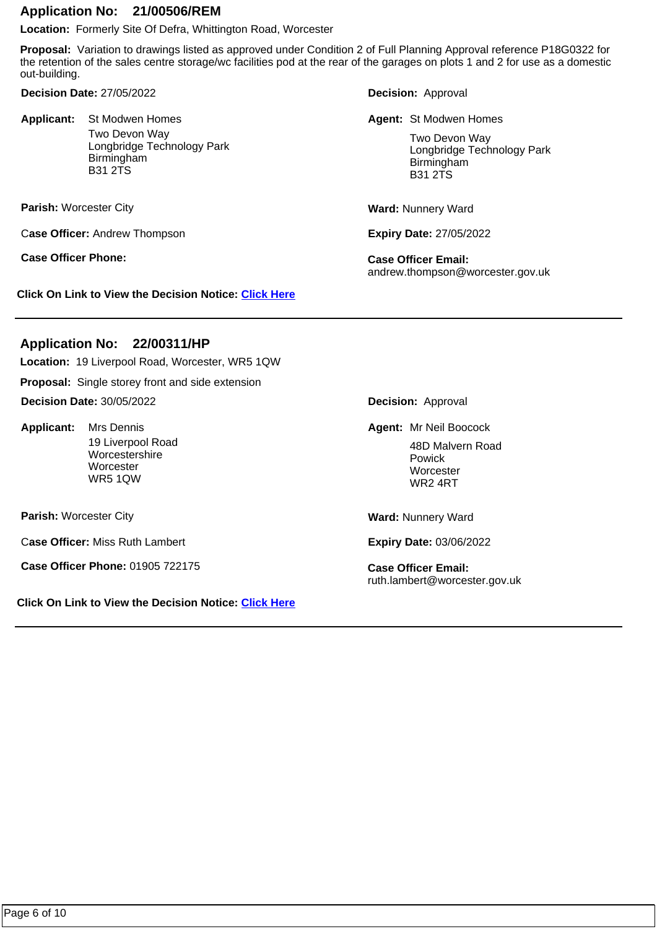#### **Application No: 21/00506/REM**

**Location:** Formerly Site Of Defra, Whittington Road, Worcester

**Proposal:** Variation to drawings listed as approved under Condition 2 of Full Planning Approval reference P18G0322 for the retention of the sales centre storage/wc facilities pod at the rear of the garages on plots 1 and 2 for use as a domestic out-building.

**Decision Date:** 27/05/2022

**Applicant:**  Two Devon Way Longbridge Technology Park Birmingham B31 2TS **Agent: St Modwen Homes Contrary Contrary Contrary Agent: St Modwen Homes** 

**Parish:** Worcester City

C**ase Officer:** Andrew Thompson

**Case Officer Phone: Case Officer Email:** 

**Click On Link to View the Decision Notice: [Click Here](https://plan.worcester.gov.uk/Planning/Display/21/00506/REM)**

**Decision:** Approval

Two Devon Way Longbridge Technology Park Birmingham B31 2TS

**Ward:** Nunnery Ward

**Expiry Date:** 27/05/2022

andrew.thompson@worcester.gov.uk

#### **Application No: 22/00311/HP**

**Location:** 19 Liverpool Road, Worcester, WR5 1QW

**Proposal:** Single storey front and side extension

**Decision Date:** 30/05/2022

Applicant: Mrs Dennis 19 Liverpool Road Worcestershire **Worcester** WR5 1QW

**Parish:** Worcester City

C**ase Officer:** Miss Ruth Lambert

**Case Officer Phone:** 01905 722175 **Case Officer Email:** 

**Click On Link to View the Decision Notice: [Click Here](https://plan.worcester.gov.uk/Planning/Display/22/00311/HP)**

**Decision:** Approval

**Agent:** Mr Neil Boocock (Mr Neil Boocock)

48D Malvern Road Powick **Worcester** WR2 4RT

**Ward:** Nunnery Ward

**Expiry Date:** 03/06/2022

ruth.lambert@worcester.gov.uk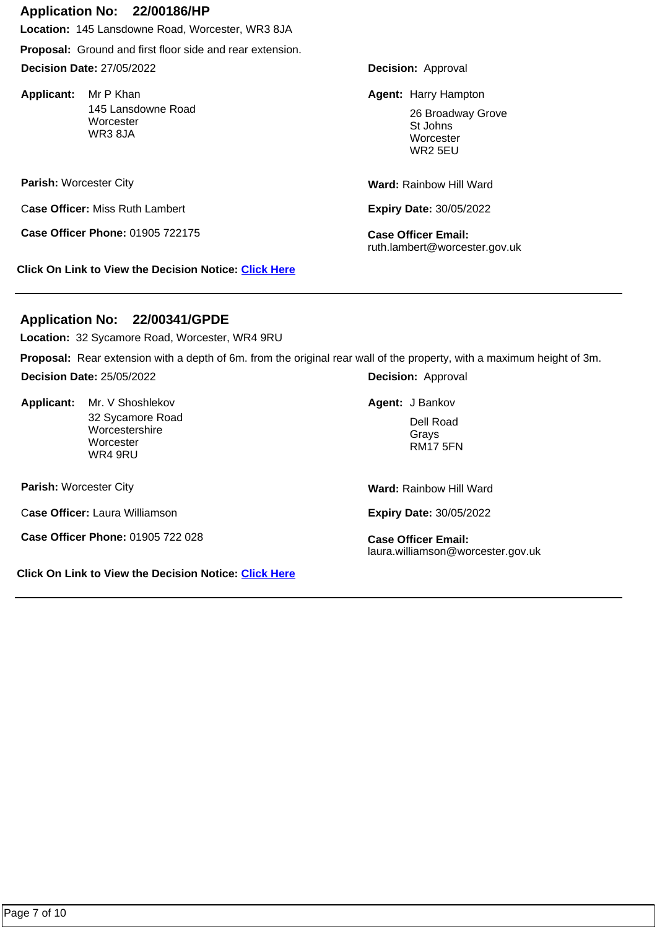#### **Application No: 22/00186/HP**

**Location:** 145 Lansdowne Road, Worcester, WR3 8JA

**Proposal:** Ground and first floor side and rear extension.

**Decision Date:** 27/05/2022

Applicant: Mr P Khan 145 Lansdowne Road **Worcester** WR3 8JA

**Parish:** Worcester City

C**ase Officer:** Miss Ruth Lambert

**Case Officer Phone:** 01905 722175 **Case Officer Email:** 

**Click On Link to View the Decision Notice: [Click Here](https://plan.worcester.gov.uk/Planning/Display/22/00186/HP)**

**Decision:** Approval

Mr P Khan **Harry Hampton Agent:** Harry Hampton

26 Broadway Grove St Johns **Worcester** WR2 5EU

**Ward:** Rainbow Hill Ward

**Expiry Date:** 30/05/2022

ruth.lambert@worcester.gov.uk

# **Application No: 22/00341/GPDE**

**Location:** 32 Sycamore Road, Worcester, WR4 9RU

**Proposal:** Rear extension with a depth of 6m. from the original rear wall of the property, with a maximum height of 3m.

**Decision Date:** 25/05/2022

Applicant: Mr. V Shoshlekov 32 Sycamore Road **Worcestershire Worcester** WR4 9RU Mr. V Shoshlekov **Agent:** J Bankov

**Parish:** Worcester City

C**ase Officer:** Laura Williamson

**Case Officer Phone:** 01905 722 028 **Case Officer Email:** 

**Click On Link to View the Decision Notice: [Click Here](https://plan.worcester.gov.uk/Planning/Display/22/00341/GPDE)**

**Decision:** Approval

Dell Road Grays RM17 5FN

**Ward:** Rainbow Hill Ward

**Expiry Date:** 30/05/2022

laura.williamson@worcester.gov.uk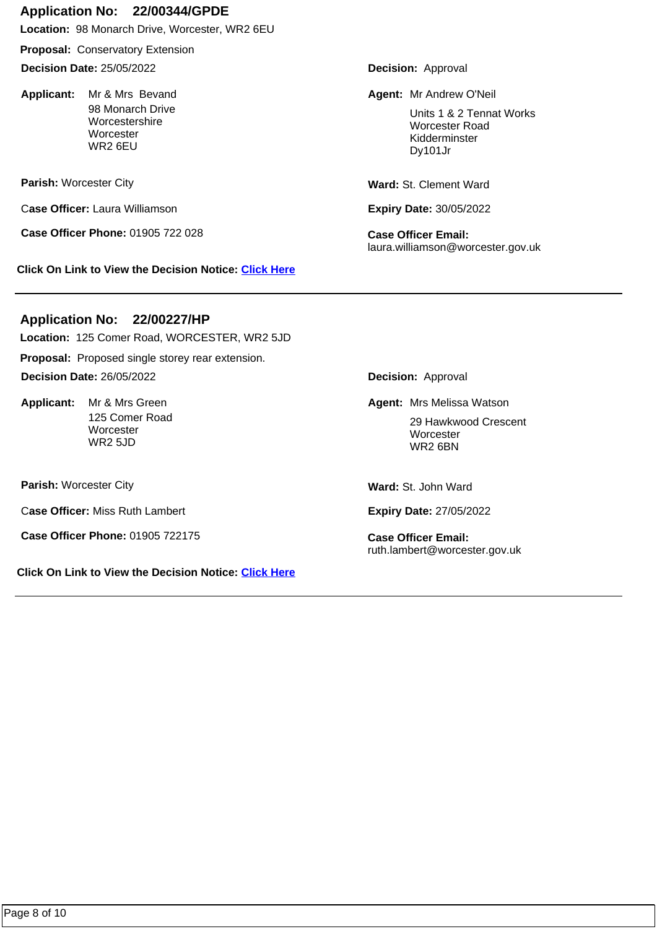# **Application No: 22/00344/GPDE**

**Location:** 98 Monarch Drive, Worcester, WR2 6EU

**Proposal:** Conservatory Extension

**Decision Date:** 25/05/2022

Applicant: Mr & Mrs Bevand 98 Monarch Drive Worcestershire **Worcester** WR2 6EU

**Parish:** Worcester City

C**ase Officer:** Laura Williamson

**Case Officer Phone:** 01905 722 028 **Case Officer Email:** 

**Click On Link to View the Decision Notice: [Click Here](https://plan.worcester.gov.uk/Planning/Display/22/00344/GPDE)**

**Decision:** Approval

**Mr & Mrs Bevand Mr Andrew O'Neil Agent: Mr Andrew O'Neil** 

Units 1 & 2 Tennat Works Worcester Road Kidderminster Dy101Jr

Ward: St. Clement Ward

**Expiry Date:** 30/05/2022

laura.williamson@worcester.gov.uk

# **Application No: 22/00227/HP**

**Proposal:** Proposed single storey rear extension. **Location:** 125 Comer Road, WORCESTER, WR2 5JD **Decision Date:** 26/05/2022

Applicant: Mr & Mrs Green 125 Comer Road **Worcester** WR2 5JD

**Parish:** Worcester City

C**ase Officer:** Miss Ruth Lambert

**Case Officer Phone:** 01905 722175 **Case Officer Email:** 

**Click On Link to View the Decision Notice: [Click Here](https://plan.worcester.gov.uk/Planning/Display/22/00227/HP)**

**Decision:** Approval

**Mr & Mrs Green Mrs Melissa Watson Agent:** Mrs Melissa Watson

29 Hawkwood Crescent **Worcester** WR2 6BN

**Ward:** St. John Ward

**Expiry Date:** 27/05/2022

ruth.lambert@worcester.gov.uk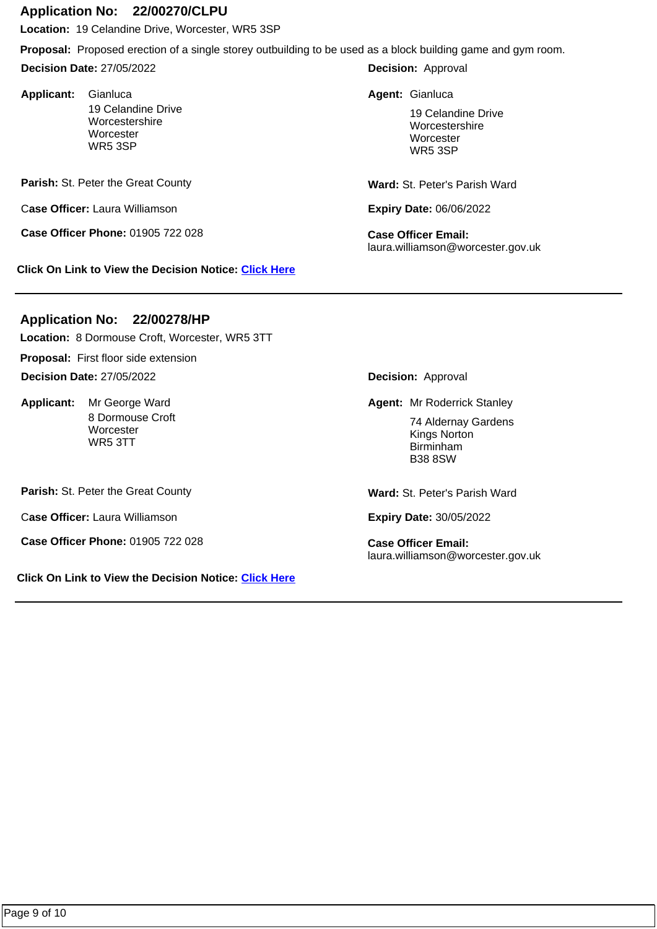## **Application No: 22/00270/CLPU**

**Location:** 19 Celandine Drive, Worcester, WR5 3SP

**Proposal:** Proposed erection of a single storey outbuilding to be used as a block building game and gym room.

**Decision Date:** 27/05/2022

Applicant: Gianluca 19 Celandine Drive Worcestershire **Worcester** WR5 3SP **Agent:** Gianluca Gianluca

Parish: St. Peter the Great County

C**ase Officer:** Laura Williamson

**Case Officer Phone:** 01905 722 028 **Case Officer Email:** 

**Click On Link to View the Decision Notice: [Click Here](https://plan.worcester.gov.uk/Planning/Display/22/00270/CLPU)**

**Decision:** Approval

19 Celandine Drive Worcestershire **Worcester** WR5 3SP

**Ward:** St. Peter's Parish Ward

**Expiry Date:** 06/06/2022

laura.williamson@worcester.gov.uk

# **Application No: 22/00278/HP**

**Location:** 8 Dormouse Croft, Worcester, WR5 3TT

**Proposal:** First floor side extension

**Decision Date:** 27/05/2022

Applicant: Mr George Ward 8 Dormouse Croft **Worcester** WR5 3TT

**Parish:** St. Peter the Great County

C**ase Officer:** Laura Williamson

**Case Officer Phone:** 01905 722 028 **Case Officer Email:** 

**Click On Link to View the Decision Notice: [Click Here](https://plan.worcester.gov.uk/Planning/Display/22/00278/HP)**

**Decision:** Approval

**Mr George Ward Mr Roderrick Stanley Mr Roderrick Stanley** 

74 Aldernay Gardens Kings Norton Birminham B38 8SW

**Ward:** St. Peter's Parish Ward

**Expiry Date:** 30/05/2022

laura.williamson@worcester.gov.uk